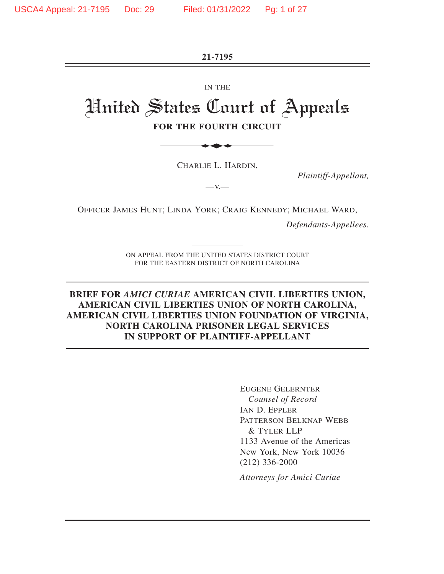**21-7195** 

IN THE

# United States Court of Appeals **FOR THE FOURTH CIRCUIT** ETTE

CHARLIE L. HARDIN,

 $-V.$ 

*Plaintiff-Appellant,* 

OFFICER JAMES HUNT; LINDA YORK; CRAIG KENNEDY; MICHAEL WARD,

*Defendants-Appellees.* 

ON APPEAL FROM THE UNITED STATES DISTRICT COURT FOR THE EASTERN DISTRICT OF NORTH CAROLINA

#### **BRIEF FOR** *AMICI CURIAE* **AMERICAN CIVIL LIBERTIES UNION, AMERICAN CIVIL LIBERTIES UNION OF NORTH CAROLINA, AMERICAN CIVIL LIBERTIES UNION FOUNDATION OF VIRGINIA, NORTH CAROLINA PRISONER LEGAL SERVICES IN SUPPORT OF PLAINTIFF-APPELLANT**

EUGENE GELERNTER *Counsel of Record* IAN D. EPPLER PATTERSON BELKNAP WEBB & TYLER LLP 1133 Avenue of the Americas New York, New York 10036 (212) 336-2000

*Attorneys for Amici Curiae*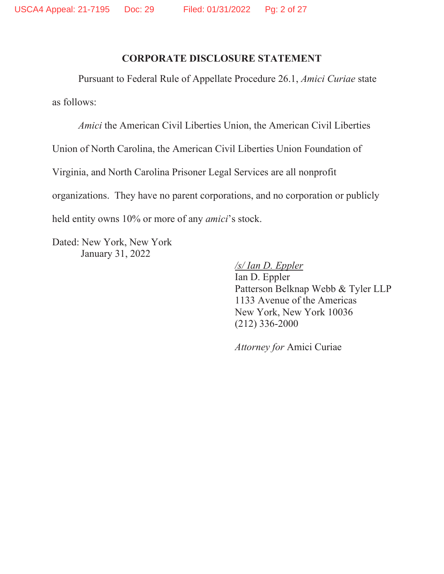#### **CORPORATE DISCLOSURE STATEMENT**

Pursuant to Federal Rule of Appellate Procedure 26.1, *Amici Curiae* state as follows:

*Amici* the American Civil Liberties Union, the American Civil Liberties

Union of North Carolina, the American Civil Liberties Union Foundation of

Virginia, and North Carolina Prisoner Legal Services are all nonprofit

organizations. They have no parent corporations, and no corporation or publicly

held entity owns 10% or more of any *amici*'s stock.

Dated: New York, New York January 31, 2022

*/s/ Ian D. Eppler*

Ian D. Eppler Patterson Belknap Webb & Tyler LLP 1133 Avenue of the Americas New York, New York 10036 (212) 336-2000

*Attorney for* Amici Curiae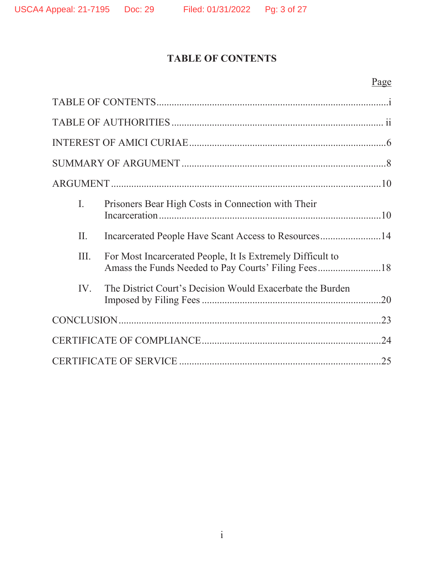# **TABLE OF CONTENTS**

# Page

| I.   | Prisoners Bear High Costs in Connection with Their         |  |  |
|------|------------------------------------------------------------|--|--|
| II.  | Incarcerated People Have Scant Access to Resources14       |  |  |
| III. | For Most Incarcerated People, It Is Extremely Difficult to |  |  |
| IV.  | The District Court's Decision Would Exacerbate the Burden  |  |  |
| .23  |                                                            |  |  |
|      |                                                            |  |  |
| .25  |                                                            |  |  |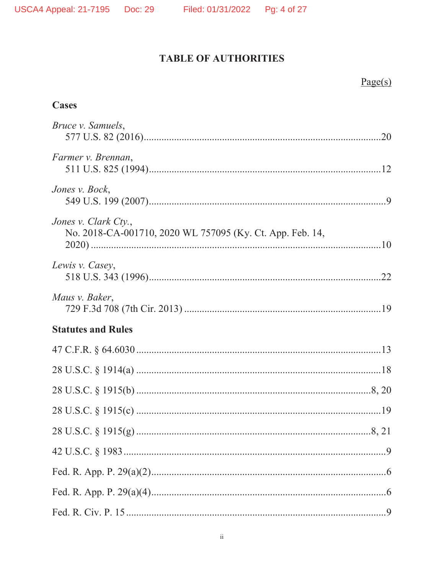$Page(s)$ 

# **TABLE OF AUTHORITIES**

| <b>Cases</b>                                                                      |  |
|-----------------------------------------------------------------------------------|--|
| Bruce v. Samuels,                                                                 |  |
| Farmer v. Brennan,                                                                |  |
| Jones v. Bock,                                                                    |  |
| Jones v. Clark Cty.,<br>No. 2018-CA-001710, 2020 WL 757095 (Ky. Ct. App. Feb. 14, |  |
| Lewis v. Casey,                                                                   |  |
| Maus v. Baker,                                                                    |  |
| <b>Statutes and Rules</b>                                                         |  |
|                                                                                   |  |
|                                                                                   |  |
|                                                                                   |  |
|                                                                                   |  |
|                                                                                   |  |
|                                                                                   |  |
|                                                                                   |  |
|                                                                                   |  |
|                                                                                   |  |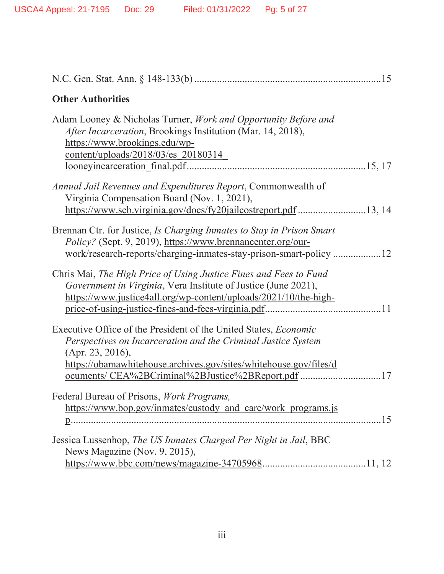| <b>Other Authorities</b>                                                                                                                                                                                          |
|-------------------------------------------------------------------------------------------------------------------------------------------------------------------------------------------------------------------|
| Adam Looney & Nicholas Turner, Work and Opportunity Before and<br>After Incarceration, Brookings Institution (Mar. 14, 2018),<br>https://www.brookings.edu/wp-<br>content/uploads/2018/03/es 20180314             |
| Annual Jail Revenues and Expenditures Report, Commonwealth of<br>Virginia Compensation Board (Nov. 1, 2021),<br>https://www.scb.virginia.gov/docs/fy20jailcostreport.pdf 13, 14                                   |
| Brennan Ctr. for Justice, <i>Is Charging Inmates to Stay in Prison Smart</i><br>Policy? (Sept. 9, 2019), https://www.brennancenter.org/our-<br>work/research-reports/charging-inmates-stay-prison-smart-policy 12 |
| Chris Mai, The High Price of Using Justice Fines and Fees to Fund<br>Government in Virginia, Vera Institute of Justice (June 2021),<br>https://www.justice4all.org/wp-content/uploads/2021/10/the-high-           |
| Executive Office of the President of the United States, <i>Economic</i><br>Perspectives on Incarceration and the Criminal Justice System<br>(Apr. 23, 2016),                                                      |
| https://obamawhitehouse.archives.gov/sites/whitehouse.gov/files/d<br>ocuments/ CEA%2BCriminal%2BJustice%2BReport.pdf 17                                                                                           |
| Federal Bureau of Prisons, Work Programs,<br>https://www.bop.gov/inmates/custody_and_care/work_programs.js                                                                                                        |
| Jessica Lussenhop, The US Inmates Charged Per Night in Jail, BBC<br>News Magazine (Nov. 9, 2015),                                                                                                                 |
|                                                                                                                                                                                                                   |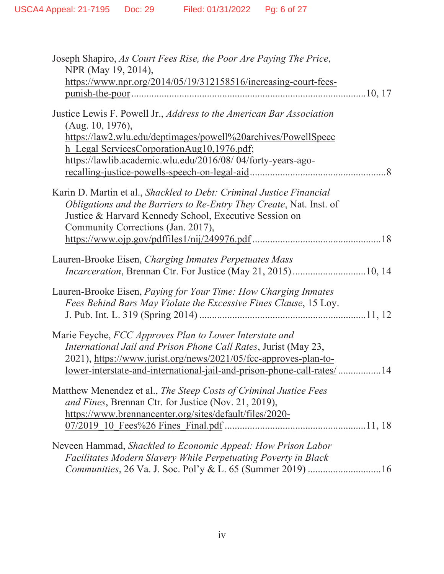| Joseph Shapiro, As Court Fees Rise, the Poor Are Paying The Price,<br>NPR (May 19, 2014),<br>https://www.npr.org/2014/05/19/312158516/increasing-court-fees-                                                                                                                  |  |
|-------------------------------------------------------------------------------------------------------------------------------------------------------------------------------------------------------------------------------------------------------------------------------|--|
| Justice Lewis F. Powell Jr., <i>Address to the American Bar Association</i><br>(Aug. 10, 1976),<br>https://law2.wlu.edu/deptimages/powell%20archives/PowellSpeec<br>h Legal ServicesCorporationAug10,1976.pdf;<br>https://lawlib.academic.wlu.edu/2016/08/04/forty-years-ago- |  |
| Karin D. Martin et al., Shackled to Debt: Criminal Justice Financial<br>Obligations and the Barriers to Re-Entry They Create, Nat. Inst. of<br>Justice & Harvard Kennedy School, Executive Session on<br>Community Corrections (Jan. 2017),                                   |  |
| Lauren-Brooke Eisen, Charging Inmates Perpetuates Mass<br>Incarceration, Brennan Ctr. For Justice (May 21, 2015) 10, 14                                                                                                                                                       |  |
| Lauren-Brooke Eisen, <i>Paying for Your Time: How Charging Inmates</i><br>Fees Behind Bars May Violate the Excessive Fines Clause, 15 Loy.                                                                                                                                    |  |
| Marie Feyche, FCC Approves Plan to Lower Interstate and<br>International Jail and Prison Phone Call Rates, Jurist (May 23,<br>2021), https://www.jurist.org/news/2021/05/fcc-approves-plan-to-<br>lower-interstate-and-international-jail-and-prison-phone-call-rates/14      |  |
| Matthew Menendez et al., The Steep Costs of Criminal Justice Fees<br>and Fines, Brennan Ctr. for Justice (Nov. 21, 2019),<br>https://www.brennancenter.org/sites/default/files/2020-                                                                                          |  |
| Neveen Hammad, Shackled to Economic Appeal: How Prison Labor<br>Facilitates Modern Slavery While Perpetuating Poverty in Black                                                                                                                                                |  |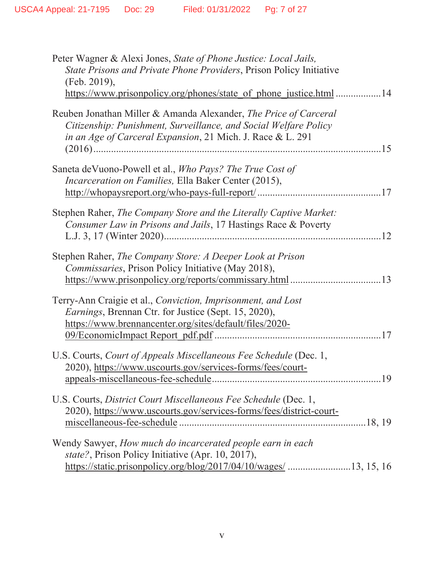| Peter Wagner & Alexi Jones, State of Phone Justice: Local Jails,<br>State Prisons and Private Phone Providers, Prison Policy Initiative<br>(Feb. 2019),<br>https://www.prisonpolicy.org/phones/state of phone justice.html 14 |
|-------------------------------------------------------------------------------------------------------------------------------------------------------------------------------------------------------------------------------|
| Reuben Jonathan Miller & Amanda Alexander, The Price of Carceral<br>Citizenship: Punishment, Surveillance, and Social Welfare Policy<br>in an Age of Carceral Expansion, 21 Mich. J. Race & L. 291                            |
| Saneta deVuono-Powell et al., Who Pays? The True Cost of<br>Incarceration on Families, Ella Baker Center (2015),                                                                                                              |
| Stephen Raher, The Company Store and the Literally Captive Market:<br>Consumer Law in Prisons and Jails, 17 Hastings Race & Poverty                                                                                           |
| Stephen Raher, The Company Store: A Deeper Look at Prison<br>Commissaries, Prison Policy Initiative (May 2018),                                                                                                               |
| Terry-Ann Craigie et al., Conviction, Imprisonment, and Lost<br>Earnings, Brennan Ctr. for Justice (Sept. 15, 2020),<br>https://www.brennancenter.org/sites/default/files/2020-                                               |
| U.S. Courts, Court of Appeals Miscellaneous Fee Schedule (Dec. 1,<br>2020), https://www.uscourts.gov/services-forms/fees/court-                                                                                               |
| U.S. Courts, District Court Miscellaneous Fee Schedule (Dec. 1,<br>2020), https://www.uscourts.gov/services-forms/fees/district-court-                                                                                        |
| Wendy Sawyer, How much do incarcerated people earn in each<br>state?, Prison Policy Initiative (Apr. 10, 2017),<br>https://static.prisonpolicy.org/blog/2017/04/10/wages/ 13, 15, 16                                          |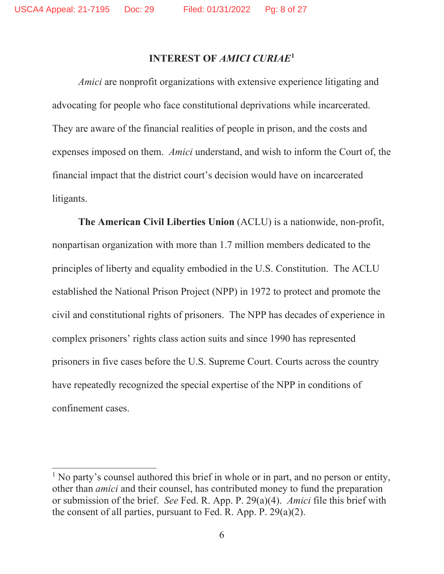#### **INTEREST OF** *AMICI CURIAE***<sup>1</sup>**

*Amici* are nonprofit organizations with extensive experience litigating and advocating for people who face constitutional deprivations while incarcerated. They are aware of the financial realities of people in prison, and the costs and expenses imposed on them. *Amici* understand, and wish to inform the Court of, the financial impact that the district court's decision would have on incarcerated litigants.

**The American Civil Liberties Union** (ACLU) is a nationwide, non-profit, nonpartisan organization with more than 1.7 million members dedicated to the principles of liberty and equality embodied in the U.S. Constitution. The ACLU established the National Prison Project (NPP) in 1972 to protect and promote the civil and constitutional rights of prisoners. The NPP has decades of experience in complex prisoners' rights class action suits and since 1990 has represented prisoners in five cases before the U.S. Supreme Court. Courts across the country have repeatedly recognized the special expertise of the NPP in conditions of confinement cases.

<sup>&</sup>lt;sup>1</sup> No party's counsel authored this brief in whole or in part, and no person or entity, other than *amici* and their counsel, has contributed money to fund the preparation or submission of the brief. *See* Fed. R. App. P. 29(a)(4). *Amici* file this brief with the consent of all parties, pursuant to Fed. R. App. P. 29(a)(2).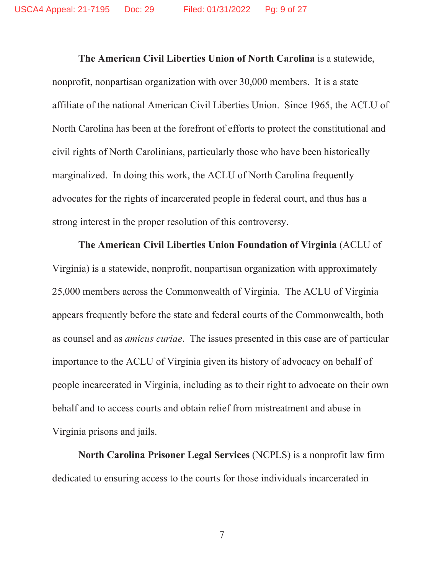**The American Civil Liberties Union of North Carolina** is a statewide, nonprofit, nonpartisan organization with over 30,000 members. It is a state affiliate of the national American Civil Liberties Union. Since 1965, the ACLU of North Carolina has been at the forefront of efforts to protect the constitutional and civil rights of North Carolinians, particularly those who have been historically marginalized. In doing this work, the ACLU of North Carolina frequently advocates for the rights of incarcerated people in federal court, and thus has a strong interest in the proper resolution of this controversy.

**The American Civil Liberties Union Foundation of Virginia** (ACLU of Virginia) is a statewide, nonprofit, nonpartisan organization with approximately 25,000 members across the Commonwealth of Virginia. The ACLU of Virginia appears frequently before the state and federal courts of the Commonwealth, both as counsel and as *amicus curiae*. The issues presented in this case are of particular importance to the ACLU of Virginia given its history of advocacy on behalf of people incarcerated in Virginia, including as to their right to advocate on their own behalf and to access courts and obtain relief from mistreatment and abuse in Virginia prisons and jails.

**North Carolina Prisoner Legal Services** (NCPLS) is a nonprofit law firm dedicated to ensuring access to the courts for those individuals incarcerated in

7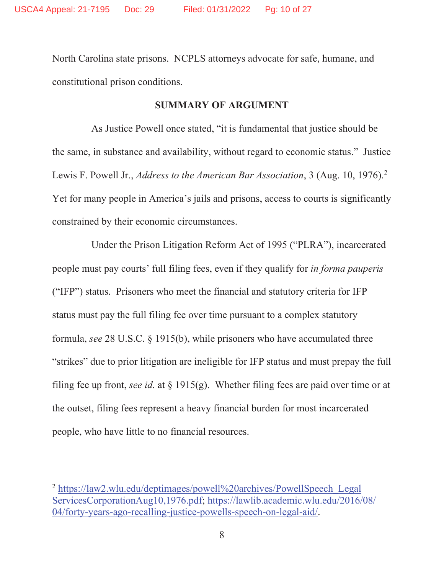North Carolina state prisons. NCPLS attorneys advocate for safe, humane, and constitutional prison conditions.

#### **SUMMARY OF ARGUMENT**

As Justice Powell once stated, "it is fundamental that justice should be the same, in substance and availability, without regard to economic status." Justice Lewis F. Powell Jr., *Address to the American Bar Association*, 3 (Aug. 10, 1976).2 Yet for many people in America's jails and prisons, access to courts is significantly constrained by their economic circumstances.

Under the Prison Litigation Reform Act of 1995 ("PLRA"), incarcerated people must pay courts' full filing fees, even if they qualify for *in forma pauperis*  ("IFP") status. Prisoners who meet the financial and statutory criteria for IFP status must pay the full filing fee over time pursuant to a complex statutory formula, *see* 28 U.S.C. § 1915(b), while prisoners who have accumulated three "strikes" due to prior litigation are ineligible for IFP status and must prepay the full filing fee up front, *see id.* at § 1915(g). Whether filing fees are paid over time or at the outset, filing fees represent a heavy financial burden for most incarcerated people, who have little to no financial resources.

<sup>2</sup> https://law2.wlu.edu/deptimages/powell%20archives/PowellSpeech\_Legal ServicesCorporationAug10,1976.pdf; https://lawlib.academic.wlu.edu/2016/08/ 04/forty-years-ago-recalling-justice-powells-speech-on-legal-aid/.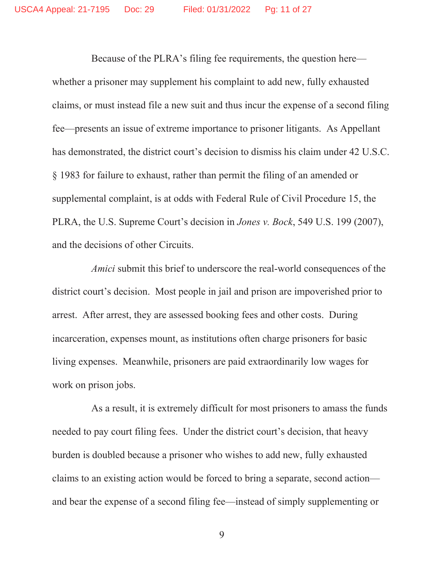Because of the PLRA's filing fee requirements, the question here whether a prisoner may supplement his complaint to add new, fully exhausted claims, or must instead file a new suit and thus incur the expense of a second filing fee—presents an issue of extreme importance to prisoner litigants. As Appellant has demonstrated, the district court's decision to dismiss his claim under 42 U.S.C. § 1983 for failure to exhaust, rather than permit the filing of an amended or supplemental complaint, is at odds with Federal Rule of Civil Procedure 15, the PLRA, the U.S. Supreme Court's decision in *Jones v. Bock*, 549 U.S. 199 (2007), and the decisions of other Circuits.

*Amici* submit this brief to underscore the real-world consequences of the district court's decision. Most people in jail and prison are impoverished prior to arrest. After arrest, they are assessed booking fees and other costs. During incarceration, expenses mount, as institutions often charge prisoners for basic living expenses. Meanwhile, prisoners are paid extraordinarily low wages for work on prison jobs.

As a result, it is extremely difficult for most prisoners to amass the funds needed to pay court filing fees. Under the district court's decision, that heavy burden is doubled because a prisoner who wishes to add new, fully exhausted claims to an existing action would be forced to bring a separate, second action and bear the expense of a second filing fee—instead of simply supplementing or

9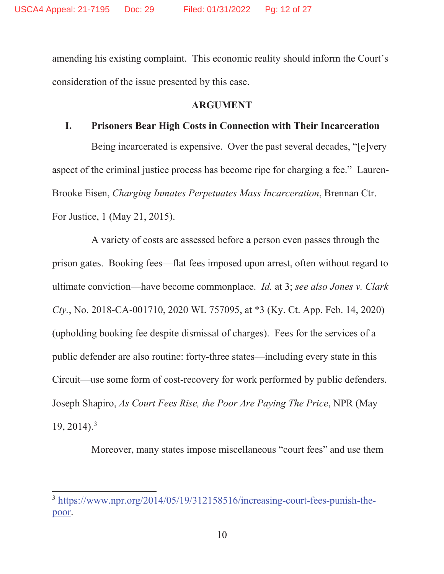amending his existing complaint. This economic reality should inform the Court's consideration of the issue presented by this case.

#### **ARGUMENT**

#### **I. Prisoners Bear High Costs in Connection with Their Incarceration**

Being incarcerated is expensive. Over the past several decades, "[e]very aspect of the criminal justice process has become ripe for charging a fee." Lauren-Brooke Eisen, *Charging Inmates Perpetuates Mass Incarceration*, Brennan Ctr. For Justice, 1 (May 21, 2015).

A variety of costs are assessed before a person even passes through the prison gates. Booking fees—flat fees imposed upon arrest, often without regard to ultimate conviction—have become commonplace. *Id.* at 3; *see also Jones v. Clark Cty.*, No. 2018-CA-001710, 2020 WL 757095, at \*3 (Ky. Ct. App. Feb. 14, 2020) (upholding booking fee despite dismissal of charges). Fees for the services of a public defender are also routine: forty-three states—including every state in this Circuit—use some form of cost-recovery for work performed by public defenders. Joseph Shapiro, *As Court Fees Rise, the Poor Are Paying The Price*, NPR (May  $19, 2014$ .<sup>3</sup>

Moreover, many states impose miscellaneous "court fees" and use them

<sup>3</sup> https://www.npr.org/2014/05/19/312158516/increasing-court-fees-punish-thepoor.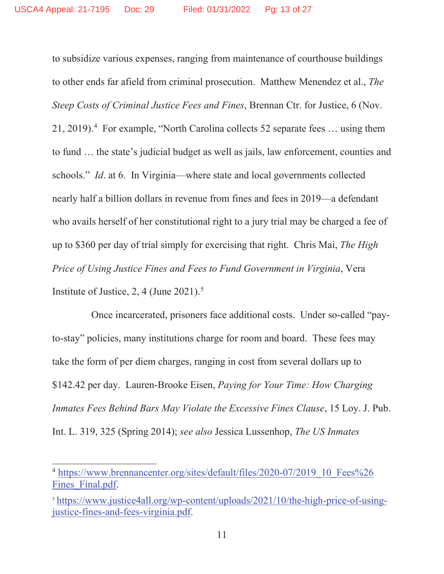to subsidize various expenses, ranging from maintenance of courthouse buildings to other ends far afield from criminal prosecution. Matthew Menendez et al., *The Steep Costs of Criminal Justice Fees and Fines*, Brennan Ctr. for Justice, 6 (Nov. 21, 2019).<sup>4</sup> For example, "North Carolina collects 52 separate fees ... using them to fund … the state's judicial budget as well as jails, law enforcement, counties and schools." *Id*. at 6. In Virginia—where state and local governments collected nearly half a billion dollars in revenue from fines and fees in 2019—a defendant who avails herself of her constitutional right to a jury trial may be charged a fee of up to \$360 per day of trial simply for exercising that right. Chris Mai, *The High Price of Using Justice Fines and Fees to Fund Government in Virginia*, Vera Institute of Justice,  $2, 4$  (June 2021).<sup>5</sup>

Once incarcerated, prisoners face additional costs. Under so-called "payto-stay" policies, many institutions charge for room and board. These fees may take the form of per diem charges, ranging in cost from several dollars up to \$142.42 per day. Lauren-Brooke Eisen, *Paying for Your Time: How Charging Inmates Fees Behind Bars May Violate the Excessive Fines Clause*, 15 Loy. J. Pub. Int. L. 319, 325 (Spring 2014); *see also* Jessica Lussenhop, *The US Inmates* 

<sup>&</sup>lt;sup>4</sup> https://www.brennancenter.org/sites/default/files/2020-07/2019\_10\_Fees%26 Fines Final.pdf.

<sup>5</sup> https://www.justice4all.org/wp-content/uploads/2021/10/the-high-price-of-usingjustice-fines-and-fees-virginia.pdf.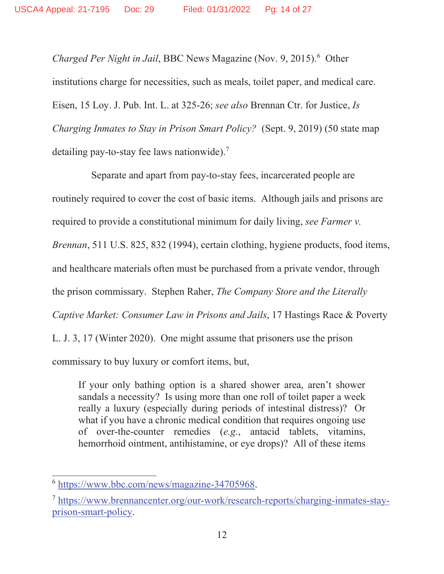Charged Per Night in Jail, BBC News Magazine (Nov. 9, 2015).<sup>6</sup> Other institutions charge for necessities, such as meals, toilet paper, and medical care. Eisen, 15 Loy. J. Pub. Int. L. at 325-26; *see also* Brennan Ctr. for Justice, *Is Charging Inmates to Stay in Prison Smart Policy?* (Sept. 9, 2019) (50 state map detailing pay-to-stay fee laws nationwide).7

Separate and apart from pay-to-stay fees, incarcerated people are routinely required to cover the cost of basic items. Although jails and prisons are required to provide a constitutional minimum for daily living, *see Farmer v. Brennan*, 511 U.S. 825, 832 (1994), certain clothing, hygiene products, food items, and healthcare materials often must be purchased from a private vendor, through the prison commissary. Stephen Raher, *The Company Store and the Literally Captive Market: Consumer Law in Prisons and Jails*, 17 Hastings Race & Poverty L. J. 3, 17 (Winter 2020). One might assume that prisoners use the prison commissary to buy luxury or comfort items, but,

If your only bathing option is a shared shower area, aren't shower sandals a necessity? Is using more than one roll of toilet paper a week really a luxury (especially during periods of intestinal distress)? Or what if you have a chronic medical condition that requires ongoing use of over-the-counter remedies (*e.g.*, antacid tablets, vitamins, hemorrhoid ointment, antihistamine, or eye drops)? All of these items

<sup>6</sup> https://www.bbc.com/news/magazine-34705968.

<sup>7</sup> https://www.brennancenter.org/our-work/research-reports/charging-inmates-stayprison-smart-policy.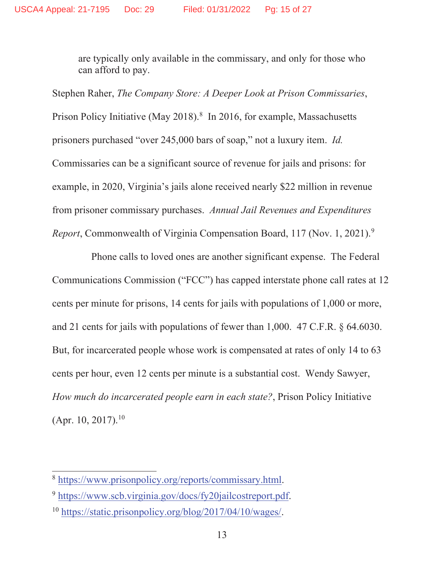are typically only available in the commissary, and only for those who can afford to pay.

Stephen Raher, *The Company Store: A Deeper Look at Prison Commissaries*, Prison Policy Initiative (May 2018). $8 \text{ In } 2016$ , for example, Massachusetts prisoners purchased "over 245,000 bars of soap," not a luxury item. *Id.*  Commissaries can be a significant source of revenue for jails and prisons: for example, in 2020, Virginia's jails alone received nearly \$22 million in revenue from prisoner commissary purchases. *Annual Jail Revenues and Expenditures Report*, Commonwealth of Virginia Compensation Board, 117 (Nov. 1, 2021).<sup>9</sup>

Phone calls to loved ones are another significant expense. The Federal Communications Commission ("FCC") has capped interstate phone call rates at 12 cents per minute for prisons, 14 cents for jails with populations of 1,000 or more, and 21 cents for jails with populations of fewer than 1,000. 47 C.F.R. § 64.6030. But, for incarcerated people whose work is compensated at rates of only 14 to 63 cents per hour, even 12 cents per minute is a substantial cost. Wendy Sawyer, *How much do incarcerated people earn in each state?*, Prison Policy Initiative  $(Apr. 10, 2017).$ <sup>10</sup>

<sup>8</sup> https://www.prisonpolicy.org/reports/commissary.html.

<sup>9</sup> https://www.scb.virginia.gov/docs/fy20jailcostreport.pdf.

<sup>10</sup> https://static.prisonpolicy.org/blog/2017/04/10/wages/.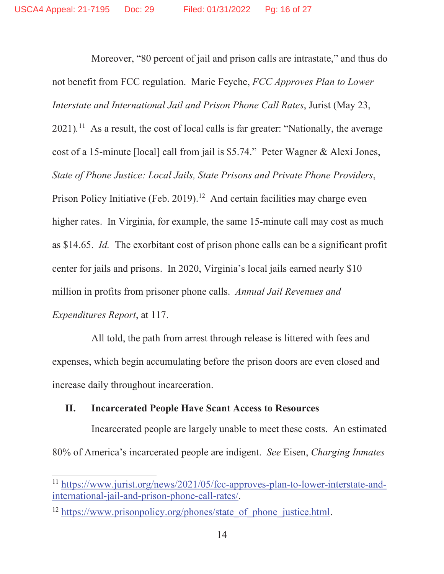Moreover, "80 percent of jail and prison calls are intrastate," and thus do not benefit from FCC regulation. Marie Feyche, *FCC Approves Plan to Lower Interstate and International Jail and Prison Phone Call Rates*, Jurist (May 23, 2021).<sup>11</sup> As a result, the cost of local calls is far greater: "Nationally, the average cost of a 15-minute [local] call from jail is \$5.74." Peter Wagner & Alexi Jones, *State of Phone Justice: Local Jails, State Prisons and Private Phone Providers*, Prison Policy Initiative (Feb. 2019).<sup>12</sup> And certain facilities may charge even higher rates. In Virginia, for example, the same 15-minute call may cost as much as \$14.65. *Id.* The exorbitant cost of prison phone calls can be a significant profit center for jails and prisons. In 2020, Virginia's local jails earned nearly \$10 million in profits from prisoner phone calls. *Annual Jail Revenues and Expenditures Report*, at 117.

All told, the path from arrest through release is littered with fees and expenses, which begin accumulating before the prison doors are even closed and increase daily throughout incarceration.

#### **II. Incarcerated People Have Scant Access to Resources**

Incarcerated people are largely unable to meet these costs. An estimated 80% of America's incarcerated people are indigent. *See* Eisen, *Charging Inmates* 

<sup>11</sup> https://www.jurist.org/news/2021/05/fcc-approves-plan-to-lower-interstate-andinternational-jail-and-prison-phone-call-rates/.

<sup>&</sup>lt;sup>12</sup> https://www.prisonpolicy.org/phones/state\_of\_phone\_justice.html.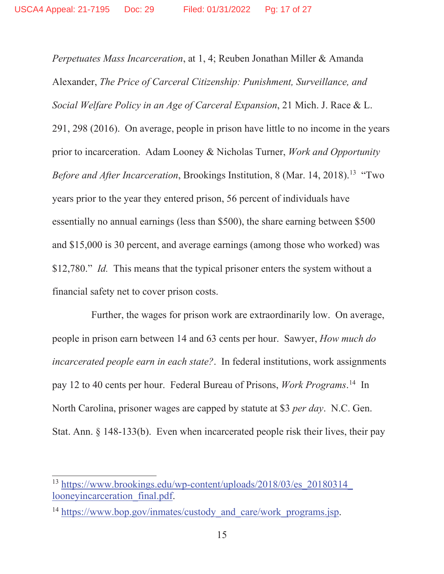*Perpetuates Mass Incarceration*, at 1, 4; Reuben Jonathan Miller & Amanda Alexander, *The Price of Carceral Citizenship: Punishment, Surveillance, and Social Welfare Policy in an Age of Carceral Expansion*, 21 Mich. J. Race & L. 291, 298 (2016). On average, people in prison have little to no income in the years prior to incarceration. Adam Looney & Nicholas Turner, *Work and Opportunity Before and After Incarceration*, Brookings Institution, 8 (Mar. 14, 2018).<sup>13</sup> "Two years prior to the year they entered prison, 56 percent of individuals have essentially no annual earnings (less than \$500), the share earning between \$500 and \$15,000 is 30 percent, and average earnings (among those who worked) was \$12,780." *Id.* This means that the typical prisoner enters the system without a financial safety net to cover prison costs.

Further, the wages for prison work are extraordinarily low. On average, people in prison earn between 14 and 63 cents per hour. Sawyer, *How much do incarcerated people earn in each state?*. In federal institutions, work assignments pay 12 to 40 cents per hour. Federal Bureau of Prisons, *Work Programs*. 14 In North Carolina, prisoner wages are capped by statute at \$3 *per day*. N.C. Gen. Stat. Ann. § 148-133(b). Even when incarcerated people risk their lives, their pay

<sup>&</sup>lt;sup>13</sup> https://www.brookings.edu/wp-content/uploads/2018/03/es\_20180314 looneyincarceration\_final.pdf.

<sup>&</sup>lt;sup>14</sup> https://www.bop.gov/inmates/custody\_and\_care/work\_programs.jsp.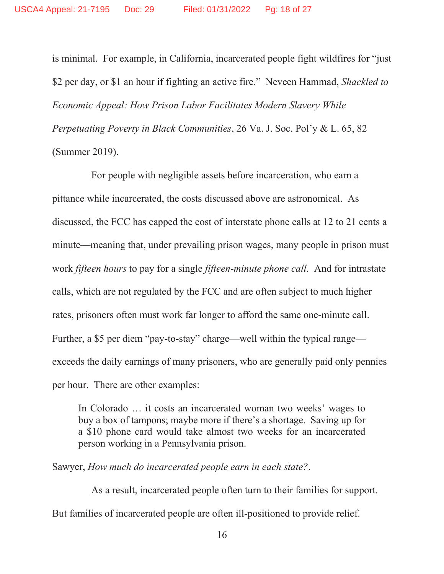is minimal. For example, in California, incarcerated people fight wildfires for "just \$2 per day, or \$1 an hour if fighting an active fire." Neveen Hammad, *Shackled to Economic Appeal: How Prison Labor Facilitates Modern Slavery While Perpetuating Poverty in Black Communities*, 26 Va. J. Soc. Pol'y & L. 65, 82 (Summer 2019).

For people with negligible assets before incarceration, who earn a pittance while incarcerated, the costs discussed above are astronomical. As discussed, the FCC has capped the cost of interstate phone calls at 12 to 21 cents a minute—meaning that, under prevailing prison wages, many people in prison must work *fifteen hours* to pay for a single *fifteen-minute phone call.* And for intrastate calls, which are not regulated by the FCC and are often subject to much higher rates, prisoners often must work far longer to afford the same one-minute call. Further, a \$5 per diem "pay-to-stay" charge—well within the typical range exceeds the daily earnings of many prisoners, who are generally paid only pennies per hour. There are other examples:

In Colorado … it costs an incarcerated woman two weeks' wages to buy a box of tampons; maybe more if there's a shortage. Saving up for a \$10 phone card would take almost two weeks for an incarcerated person working in a Pennsylvania prison.

Sawyer, *How much do incarcerated people earn in each state?*.

As a result, incarcerated people often turn to their families for support. But families of incarcerated people are often ill-positioned to provide relief.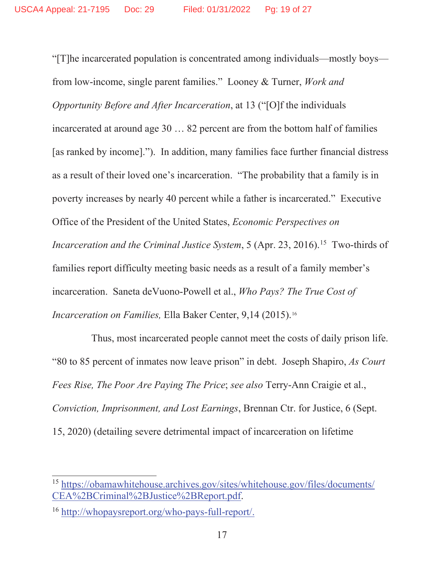"[T]he incarcerated population is concentrated among individuals—mostly boys from low-income, single parent families." Looney & Turner, *Work and Opportunity Before and After Incarceration*, at 13 ("[O]f the individuals incarcerated at around age 30 … 82 percent are from the bottom half of families [as ranked by income]."). In addition, many families face further financial distress as a result of their loved one's incarceration. "The probability that a family is in poverty increases by nearly 40 percent while a father is incarcerated." Executive Office of the President of the United States, *Economic Perspectives on Incarceration and the Criminal Justice System,* 5 (Apr. 23, 2016).<sup>15</sup> Two-thirds of families report difficulty meeting basic needs as a result of a family member's incarceration. Saneta deVuono-Powell et al., *Who Pays? The True Cost of Incarceration on Families,* Ella Baker Center, 9,14 (2015).16

Thus, most incarcerated people cannot meet the costs of daily prison life. "80 to 85 percent of inmates now leave prison" in debt. Joseph Shapiro, *As Court Fees Rise, The Poor Are Paying The Price*; *see also* Terry-Ann Craigie et al., *Conviction, Imprisonment, and Lost Earnings*, Brennan Ctr. for Justice, 6 (Sept. 15, 2020) (detailing severe detrimental impact of incarceration on lifetime

<sup>15</sup> https://obamawhitehouse.archives.gov/sites/whitehouse.gov/files/documents/ CEA%2BCriminal%2BJustice%2BReport.pdf.

<sup>16</sup> http://whopaysreport.org/who-pays-full-report/.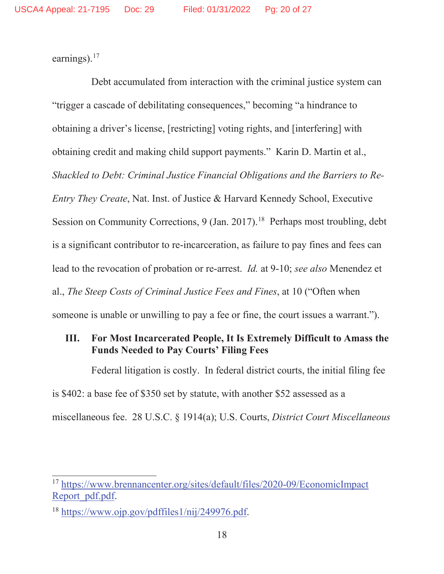earnings).<sup>17</sup>

Debt accumulated from interaction with the criminal justice system can "trigger a cascade of debilitating consequences," becoming "a hindrance to obtaining a driver's license, [restricting] voting rights, and [interfering] with obtaining credit and making child support payments." Karin D. Martin et al., *Shackled to Debt: Criminal Justice Financial Obligations and the Barriers to Re-Entry They Create*, Nat. Inst. of Justice & Harvard Kennedy School, Executive Session on Community Corrections,  $9 \times (Jan. 2017)^{18}$  Perhaps most troubling, debt is a significant contributor to re-incarceration, as failure to pay fines and fees can lead to the revocation of probation or re-arrest. *Id.* at 9-10; *see also* Menendez et al., *The Steep Costs of Criminal Justice Fees and Fines*, at 10 ("Often when someone is unable or unwilling to pay a fee or fine, the court issues a warrant.").

#### **III. For Most Incarcerated People, It Is Extremely Difficult to Amass the Funds Needed to Pay Courts' Filing Fees**

Federal litigation is costly. In federal district courts, the initial filing fee is \$402: a base fee of \$350 set by statute, with another \$52 assessed as a miscellaneous fee. 28 U.S.C. § 1914(a); U.S. Courts, *District Court Miscellaneous* 

<sup>17</sup> https://www.brennancenter.org/sites/default/files/2020-09/EconomicImpact Report\_pdf.pdf.

<sup>18</sup> https://www.ojp.gov/pdffiles1/nij/249976.pdf.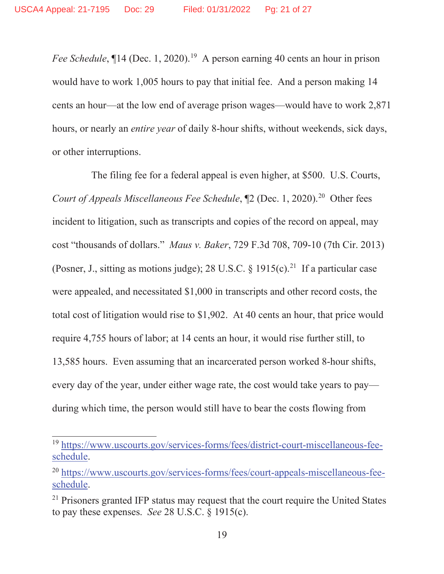*Fee Schedule*,  $\P$ 14 (Dec. 1, 2020).<sup>19</sup> A person earning 40 cents an hour in prison would have to work 1,005 hours to pay that initial fee. And a person making 14 cents an hour—at the low end of average prison wages—would have to work 2,871 hours, or nearly an *entire year* of daily 8-hour shifts, without weekends, sick days, or other interruptions.

The filing fee for a federal appeal is even higher, at \$500. U.S. Courts, *Court of Appeals Miscellaneous Fee Schedule*,  $[2 (Dec. 1, 2020).^{20}$  Other fees incident to litigation, such as transcripts and copies of the record on appeal, may cost "thousands of dollars." *Maus v. Baker*, 729 F.3d 708, 709-10 (7th Cir. 2013) (Posner, J., sitting as motions judge); 28 U.S.C. § 1915(c).<sup>21</sup> If a particular case were appealed, and necessitated \$1,000 in transcripts and other record costs, the total cost of litigation would rise to \$1,902. At 40 cents an hour, that price would require 4,755 hours of labor; at 14 cents an hour, it would rise further still, to 13,585 hours. Even assuming that an incarcerated person worked 8-hour shifts, every day of the year, under either wage rate, the cost would take years to pay during which time, the person would still have to bear the costs flowing from

<sup>19</sup> https://www.uscourts.gov/services-forms/fees/district-court-miscellaneous-feeschedule.

<sup>&</sup>lt;sup>20</sup> https://www.uscourts.gov/services-forms/fees/court-appeals-miscellaneous-feeschedule.

<sup>&</sup>lt;sup>21</sup> Prisoners granted IFP status may request that the court require the United States to pay these expenses. *See* 28 U.S.C. § 1915(c).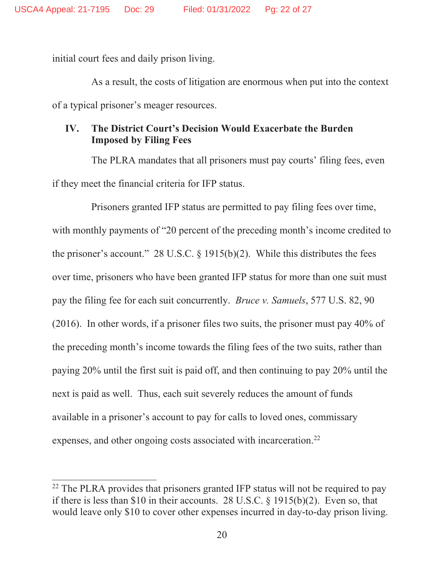initial court fees and daily prison living.

As a result, the costs of litigation are enormous when put into the context of a typical prisoner's meager resources.

#### **IV. The District Court's Decision Would Exacerbate the Burden Imposed by Filing Fees**

The PLRA mandates that all prisoners must pay courts' filing fees, even if they meet the financial criteria for IFP status.

Prisoners granted IFP status are permitted to pay filing fees over time, with monthly payments of "20 percent of the preceding month's income credited to the prisoner's account." 28 U.S.C.  $\S$  1915(b)(2). While this distributes the fees over time, prisoners who have been granted IFP status for more than one suit must pay the filing fee for each suit concurrently. *Bruce v. Samuels*, 577 U.S. 82, 90 (2016). In other words, if a prisoner files two suits, the prisoner must pay 40% of the preceding month's income towards the filing fees of the two suits, rather than paying 20% until the first suit is paid off, and then continuing to pay 20% until the next is paid as well. Thus, each suit severely reduces the amount of funds available in a prisoner's account to pay for calls to loved ones, commissary expenses, and other ongoing costs associated with incarceration.<sup>22</sup>

<sup>&</sup>lt;sup>22</sup> The PLRA provides that prisoners granted IFP status will not be required to pay if there is less than \$10 in their accounts. 28 U.S.C. § 1915(b)(2). Even so, that would leave only \$10 to cover other expenses incurred in day-to-day prison living.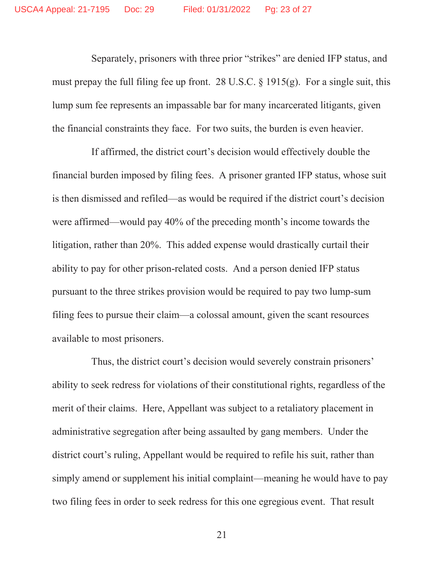Separately, prisoners with three prior "strikes" are denied IFP status, and must prepay the full filing fee up front. 28 U.S.C.  $\S$  1915(g). For a single suit, this lump sum fee represents an impassable bar for many incarcerated litigants, given the financial constraints they face. For two suits, the burden is even heavier.

If affirmed, the district court's decision would effectively double the financial burden imposed by filing fees. A prisoner granted IFP status, whose suit is then dismissed and refiled—as would be required if the district court's decision were affirmed—would pay 40% of the preceding month's income towards the litigation, rather than 20%. This added expense would drastically curtail their ability to pay for other prison-related costs. And a person denied IFP status pursuant to the three strikes provision would be required to pay two lump-sum filing fees to pursue their claim—a colossal amount, given the scant resources available to most prisoners.

Thus, the district court's decision would severely constrain prisoners' ability to seek redress for violations of their constitutional rights, regardless of the merit of their claims. Here, Appellant was subject to a retaliatory placement in administrative segregation after being assaulted by gang members. Under the district court's ruling, Appellant would be required to refile his suit, rather than simply amend or supplement his initial complaint—meaning he would have to pay two filing fees in order to seek redress for this one egregious event. That result

21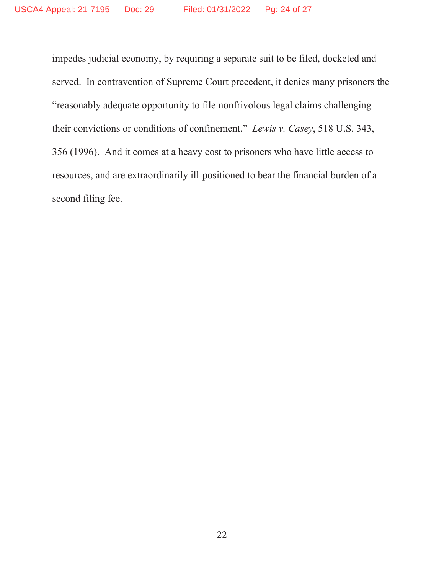impedes judicial economy, by requiring a separate suit to be filed, docketed and served. In contravention of Supreme Court precedent, it denies many prisoners the "reasonably adequate opportunity to file nonfrivolous legal claims challenging their convictions or conditions of confinement." *Lewis v. Casey*, 518 U.S. 343, 356 (1996).And it comes at a heavy cost to prisoners who have little access to resources, and are extraordinarily ill-positioned to bear the financial burden of a second filing fee.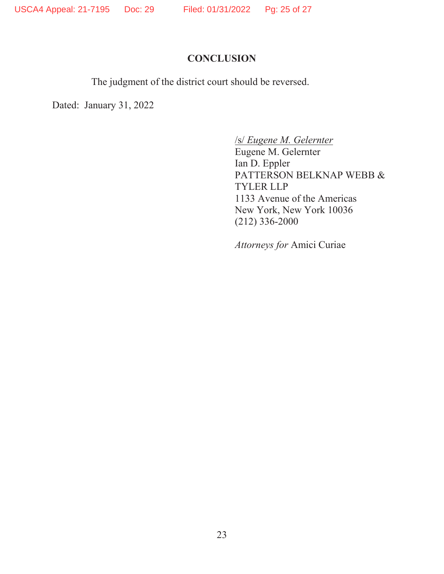### **CONCLUSION**

The judgment of the district court should be reversed.

Dated: January 31, 2022

/s/ *Eugene M. Gelernter*

Eugene M. Gelernter Ian D. Eppler PATTERSON BELKNAP WEBB & TYLER LLP 1133 Avenue of the Americas New York, New York 10036 (212) 336-2000

*Attorneys for* Amici Curiae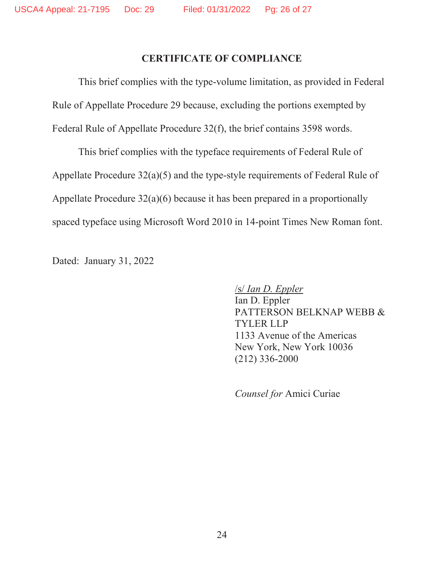#### **CERTIFICATE OF COMPLIANCE**

This brief complies with the type-volume limitation, as provided in Federal Rule of Appellate Procedure 29 because, excluding the portions exempted by Federal Rule of Appellate Procedure 32(f), the brief contains 3598 words.

This brief complies with the typeface requirements of Federal Rule of Appellate Procedure 32(a)(5) and the type-style requirements of Federal Rule of Appellate Procedure 32(a)(6) because it has been prepared in a proportionally spaced typeface using Microsoft Word 2010 in 14-point Times New Roman font.

Dated: January 31, 2022

/s/ *Ian D. Eppler*

Ian D. Eppler PATTERSON BELKNAP WEBB & TYLER LLP 1133 Avenue of the Americas New York, New York 10036 (212) 336-2000

*Counsel for* Amici Curiae